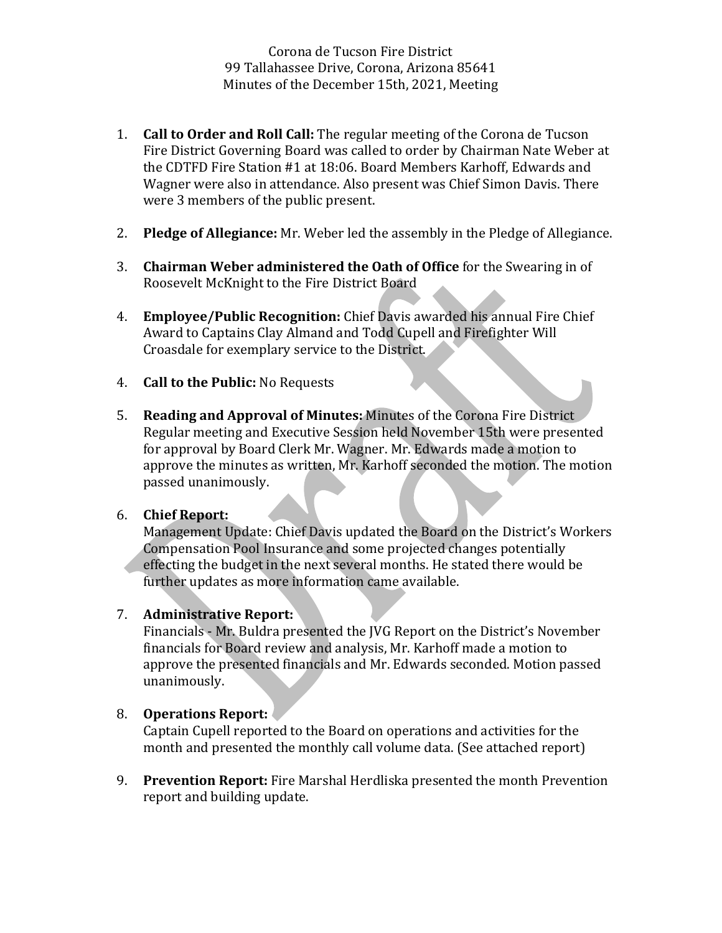Corona de Tucson Fire District 99 Tallahassee Drive, Corona, Arizona 85641 Minutes of the December 15th, 2021, Meeting

- 1. **Call to Order and Roll Call:** The regular meeting of the Corona de Tucson Fire District Governing Board was called to order by Chairman Nate Weber at the CDTFD Fire Station #1 at 18:06. Board Members Karhoff, Edwards and Wagner were also in attendance. Also present was Chief Simon Davis. There were 3 members of the public present.
- 2. **Pledge of Allegiance:** Mr. Weber led the assembly in the Pledge of Allegiance.
- 3. **Chairman Weber administered the Oath of Office** for the Swearing in of Roosevelt McKnight to the Fire District Board
- 4. **Employee/Public Recognition:** Chief Davis awarded his annual Fire Chief Award to Captains Clay Almand and Todd Cupell and Firefighter Will Croasdale for exemplary service to the District.
- 4. **Call to the Public:** No Requests
- 5. **Reading and Approval of Minutes:** Minutes of the Corona Fire District Regular meeting and Executive Session held November 15th were presented for approval by Board Clerk Mr. Wagner. Mr. Edwards made a motion to approve the minutes as written, Mr. Karhoff seconded the motion. The motion passed unanimously.

## 6. **Chief Report:**

Management Update: Chief Davis updated the Board on the District's Workers Compensation Pool Insurance and some projected changes potentially effecting the budget in the next several months. He stated there would be further updates as more information came available.

### 7. **Administrative Report:**

Financials - Mr. Buldra presented the JVG Report on the District's November financials for Board review and analysis, Mr. Karhoff made a motion to approve the presented financials and Mr. Edwards seconded. Motion passed unanimously. 

#### 8. **Operations Report:**

Captain Cupell reported to the Board on operations and activities for the month and presented the monthly call volume data. (See attached report)

9. **Prevention Report:** Fire Marshal Herdliska presented the month Prevention report and building update.